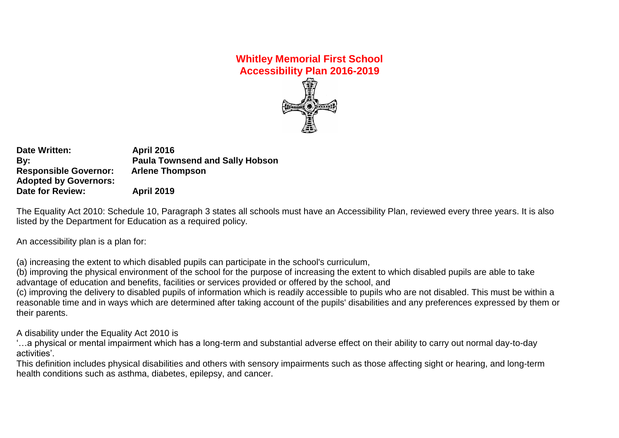# **Whitley Memorial First School Accessibility Plan 2016-2019**

**Date Written: April 2016 By: Paula Townsend and Sally Hobson Responsible Governor: Arlene Thompson Adopted by Governors: Date for Review: April 2019**

The Equality Act 2010: Schedule 10, Paragraph 3 states all schools must have an Accessibility Plan, reviewed every three years. It is also listed by the Department for Education as a required policy.

An accessibility plan is a plan for:

(a) increasing the extent to which disabled pupils can participate in the school's curriculum,

(b) improving the physical environment of the school for the purpose of increasing the extent to which disabled pupils are able to take advantage of education and benefits, facilities or services provided or offered by the school, and

(c) improving the delivery to disabled pupils of information which is readily accessible to pupils who are not disabled. This must be within a reasonable time and in ways which are determined after taking account of the pupils' disabilities and any preferences expressed by them or their parents.

A disability under the Equality Act 2010 is

'…a physical or mental impairment which has a long-term and substantial adverse effect on their ability to carry out normal day-to-day activities'.

This definition includes physical disabilities and others with sensory impairments such as those affecting sight or hearing, and long-term health conditions such as asthma, diabetes, epilepsy, and cancer.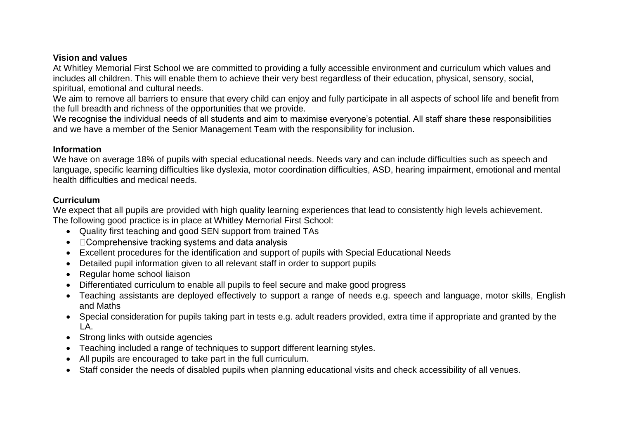#### **Vision and values**

At Whitley Memorial First School we are committed to providing a fully accessible environment and curriculum which values and includes all children. This will enable them to achieve their very best regardless of their education, physical, sensory, social, spiritual, emotional and cultural needs.

We aim to remove all barriers to ensure that every child can enjoy and fully participate in all aspects of school life and benefit from the full breadth and richness of the opportunities that we provide.

We recognise the individual needs of all students and aim to maximise everyone's potential. All staff share these responsibilities and we have a member of the Senior Management Team with the responsibility for inclusion.

#### **Information**

We have on average 18% of pupils with special educational needs. Needs vary and can include difficulties such as speech and language, specific learning difficulties like dyslexia, motor coordination difficulties, ASD, hearing impairment, emotional and mental health difficulties and medical needs.

#### **Curriculum**

We expect that all pupils are provided with high quality learning experiences that lead to consistently high levels achievement. The following good practice is in place at Whitley Memorial First School:

- Quality first teaching and good SEN support from trained TAs
- $\Box$  Comprehensive tracking systems and data analysis
- Excellent procedures for the identification and support of pupils with Special Educational Needs
- Detailed pupil information given to all relevant staff in order to support pupils
- Regular home school liaison
- Differentiated curriculum to enable all pupils to feel secure and make good progress
- Teaching assistants are deployed effectively to support a range of needs e.g. speech and language, motor skills, English and Maths
- Special consideration for pupils taking part in tests e.g. adult readers provided, extra time if appropriate and granted by the LA.
- Strong links with outside agencies
- Teaching included a range of techniques to support different learning styles.
- All pupils are encouraged to take part in the full curriculum.
- Staff consider the needs of disabled pupils when planning educational visits and check accessibility of all venues.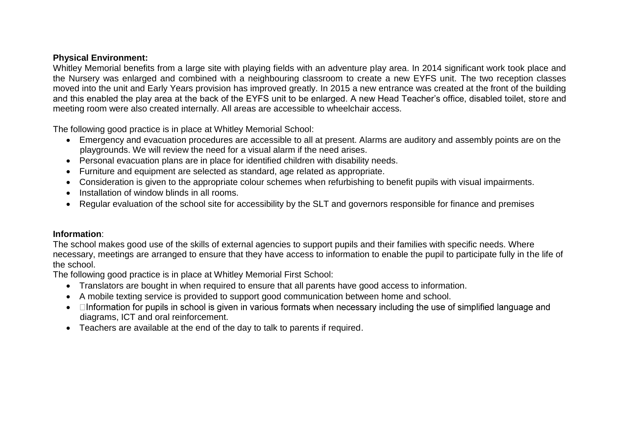#### **Physical Environment:**

Whitley Memorial benefits from a large site with playing fields with an adventure play area. In 2014 significant work took place and the Nursery was enlarged and combined with a neighbouring classroom to create a new EYFS unit. The two reception classes moved into the unit and Early Years provision has improved greatly. In 2015 a new entrance was created at the front of the building and this enabled the play area at the back of the EYFS unit to be enlarged. A new Head Teacher's office, disabled toilet, store and meeting room were also created internally. All areas are accessible to wheelchair access.

The following good practice is in place at Whitley Memorial School:

- Emergency and evacuation procedures are accessible to all at present. Alarms are auditory and assembly points are on the playgrounds. We will review the need for a visual alarm if the need arises.
- Personal evacuation plans are in place for identified children with disability needs.
- Furniture and equipment are selected as standard, age related as appropriate.
- Consideration is given to the appropriate colour schemes when refurbishing to benefit pupils with visual impairments.
- Installation of window blinds in all rooms.
- Regular evaluation of the school site for accessibility by the SLT and governors responsible for finance and premises

### **Information**:

The school makes good use of the skills of external agencies to support pupils and their families with specific needs. Where necessary, meetings are arranged to ensure that they have access to information to enable the pupil to participate fully in the life of the school.

The following good practice is in place at Whitley Memorial First School:

- Translators are bought in when required to ensure that all parents have good access to information.
- A mobile texting service is provided to support good communication between home and school.
- Information for pupils in school is given in various formats when necessary including the use of simplified language and diagrams, ICT and oral reinforcement.
- Teachers are available at the end of the day to talk to parents if required.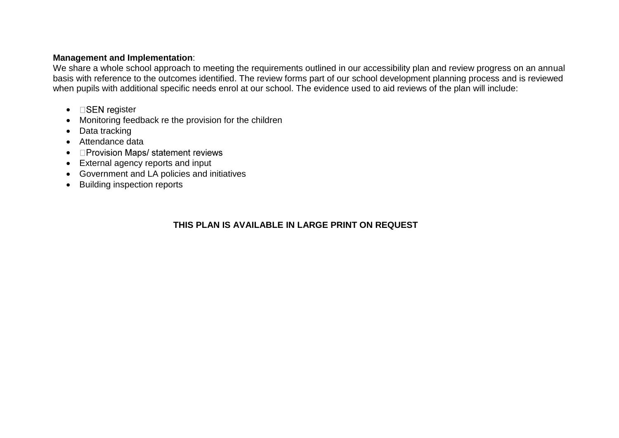#### **Management and Implementation**:

We share a whole school approach to meeting the requirements outlined in our accessibility plan and review progress on an annual basis with reference to the outcomes identified. The review forms part of our school development planning process and is reviewed when pupils with additional specific needs enrol at our school. The evidence used to aid reviews of the plan will include:

- $\bullet$  **GSEN** register
- Monitoring feedback re the provision for the children
- Data tracking
- Attendance data
- **Deprovision Maps/ statement reviews**
- External agency reports and input
- Government and LA policies and initiatives
- Building inspection reports

# **THIS PLAN IS AVAILABLE IN LARGE PRINT ON REQUEST**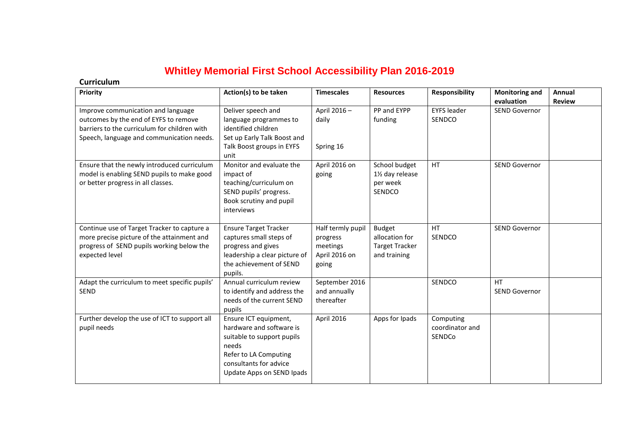# **Whitley Memorial First School Accessibility Plan 2016-2019**

#### **Curriculum**

| Priority                                                                                                                                                                 | Action(s) to be taken                                                                                                                                                    | <b>Timescales</b>                                                   | <b>Resources</b>                                                         | <b>Responsibility</b>                  | <b>Monitoring and</b><br>evaluation | Annual<br><b>Review</b> |
|--------------------------------------------------------------------------------------------------------------------------------------------------------------------------|--------------------------------------------------------------------------------------------------------------------------------------------------------------------------|---------------------------------------------------------------------|--------------------------------------------------------------------------|----------------------------------------|-------------------------------------|-------------------------|
| Improve communication and language<br>outcomes by the end of EYFS to remove<br>barriers to the curriculum for children with<br>Speech, language and communication needs. | Deliver speech and<br>language programmes to<br>identified children<br>Set up Early Talk Boost and                                                                       | April 2016-<br>daily                                                | PP and EYPP<br>funding                                                   | <b>EYFS</b> leader<br>SENDCO           | <b>SEND Governor</b>                |                         |
|                                                                                                                                                                          | Talk Boost groups in EYFS<br>unit                                                                                                                                        | Spring 16                                                           |                                                                          |                                        |                                     |                         |
| Ensure that the newly introduced curriculum<br>model is enabling SEND pupils to make good<br>or better progress in all classes.                                          | Monitor and evaluate the<br>impact of<br>teaching/curriculum on<br>SEND pupils' progress.<br>Book scrutiny and pupil<br>interviews                                       | April 2016 on<br>going                                              | School budget<br>11/2 day release<br>per week<br>SENDCO                  | <b>HT</b>                              | <b>SEND Governor</b>                |                         |
| Continue use of Target Tracker to capture a<br>more precise picture of the attainment and<br>progress of SEND pupils working below the<br>expected level                 | <b>Ensure Target Tracker</b><br>captures small steps of<br>progress and gives<br>leadership a clear picture of<br>the achievement of SEND<br>pupils.                     | Half termly pupil<br>progress<br>meetings<br>April 2016 on<br>going | <b>Budget</b><br>allocation for<br><b>Target Tracker</b><br>and training | <b>HT</b><br>SENDCO                    | <b>SEND Governor</b>                |                         |
| Adapt the curriculum to meet specific pupils'<br><b>SEND</b>                                                                                                             | Annual curriculum review<br>to identify and address the<br>needs of the current SEND<br>pupils                                                                           | September 2016<br>and annually<br>thereafter                        |                                                                          | SENDCO                                 | HT<br><b>SEND Governor</b>          |                         |
| Further develop the use of ICT to support all<br>pupil needs                                                                                                             | Ensure ICT equipment,<br>hardware and software is<br>suitable to support pupils<br>needs<br>Refer to LA Computing<br>consultants for advice<br>Update Apps on SEND Ipads | April 2016                                                          | Apps for Ipads                                                           | Computing<br>coordinator and<br>SENDCo |                                     |                         |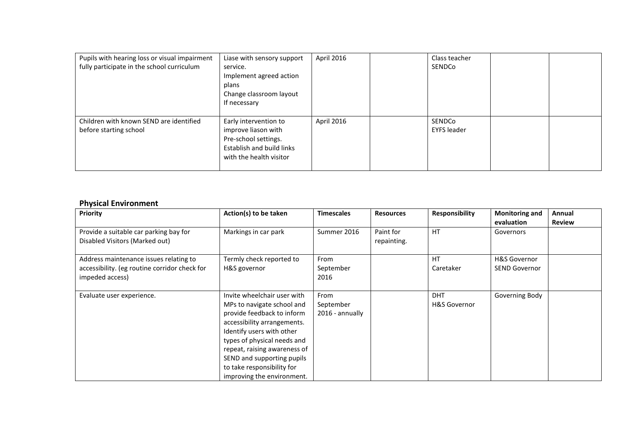| Pupils with hearing loss or visual impairment<br>fully participate in the school curriculum | Liase with sensory support<br>service.<br>Implement agreed action<br>plans<br>Change classroom layout<br>If necessary        | April 2016 | Class teacher<br>SENDCo      |  |
|---------------------------------------------------------------------------------------------|------------------------------------------------------------------------------------------------------------------------------|------------|------------------------------|--|
| Children with known SEND are identified<br>before starting school                           | Early intervention to<br>improve liason with<br>Pre-school settings.<br>Establish and build links<br>with the health visitor | April 2016 | SENDCo<br><b>EYFS leader</b> |  |

# **Physical Environment**

| <b>Priority</b>                                                                                            | Action(s) to be taken                                                                                                                                                                                                                                                                                        | <b>Timescales</b>                    | <b>Resources</b>         | <b>Responsibility</b>                 | <b>Monitoring and</b><br>evaluation  | Annual<br><b>Review</b> |
|------------------------------------------------------------------------------------------------------------|--------------------------------------------------------------------------------------------------------------------------------------------------------------------------------------------------------------------------------------------------------------------------------------------------------------|--------------------------------------|--------------------------|---------------------------------------|--------------------------------------|-------------------------|
| Provide a suitable car parking bay for<br>Disabled Visitors (Marked out)                                   | Markings in car park                                                                                                                                                                                                                                                                                         | Summer 2016                          | Paint for<br>repainting. | <b>HT</b>                             | Governors                            |                         |
| Address maintenance issues relating to<br>accessibility. (eg routine corridor check for<br>impeded access) | Termly check reported to<br>H&S governor                                                                                                                                                                                                                                                                     | From<br>September<br>2016            |                          | <b>HT</b><br>Caretaker                | H&S Governor<br><b>SEND Governor</b> |                         |
| Evaluate user experience.                                                                                  | Invite wheelchair user with<br>MPs to navigate school and<br>provide feedback to inform<br>accessibility arrangements.<br>Identify users with other<br>types of physical needs and<br>repeat, raising awareness of<br>SEND and supporting pupils<br>to take responsibility for<br>improving the environment. | From<br>September<br>2016 - annually |                          | <b>DHT</b><br><b>H&amp;S Governor</b> | Governing Body                       |                         |